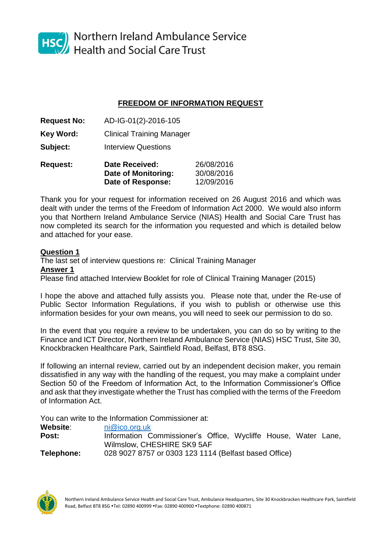

HSC Northern Ireland Ambulance Service<br>Health and Social Care Trust

## **FREEDOM OF INFORMATION REQUEST**

**Request No:** AD-IG-01(2)-2016-105

**Key Word:** Clinical Training Manager

**Subject:** Interview Questions

**Request: Date Received:** 26/08/2016 **Date of Monitoring:** 30/08/2016 **Date of Response:** 12/09/2016

Thank you for your request for information received on 26 August 2016 and which was dealt with under the terms of the Freedom of Information Act 2000. We would also inform you that Northern Ireland Ambulance Service (NIAS) Health and Social Care Trust has now completed its search for the information you requested and which is detailed below and attached for your ease.

## **Question 1**

The last set of interview questions re: Clinical Training Manager **Answer 1** Please find attached Interview Booklet for role of Clinical Training Manager (2015)

I hope the above and attached fully assists you. Please note that, under the Re-use of Public Sector Information Regulations, if you wish to publish or otherwise use this information besides for your own means, you will need to seek our permission to do so.

In the event that you require a review to be undertaken, you can do so by writing to the Finance and ICT Director, Northern Ireland Ambulance Service (NIAS) HSC Trust, Site 30, Knockbracken Healthcare Park, Saintfield Road, Belfast, BT8 8SG.

If following an internal review, carried out by an independent decision maker, you remain dissatisfied in any way with the handling of the request, you may make a complaint under Section 50 of the Freedom of Information Act, to the Information Commissioner's Office and ask that they investigate whether the Trust has complied with the terms of the Freedom of Information Act.

You can write to the Information Commissioner at:

| Website:   | ni@ico.org.uk                                                  |
|------------|----------------------------------------------------------------|
| Post:      | Information Commissioner's Office, Wycliffe House, Water Lane, |
|            | Wilmslow, CHESHIRE SK9 5AF                                     |
| Telephone: | 028 9027 8757 or 0303 123 1114 (Belfast based Office)          |